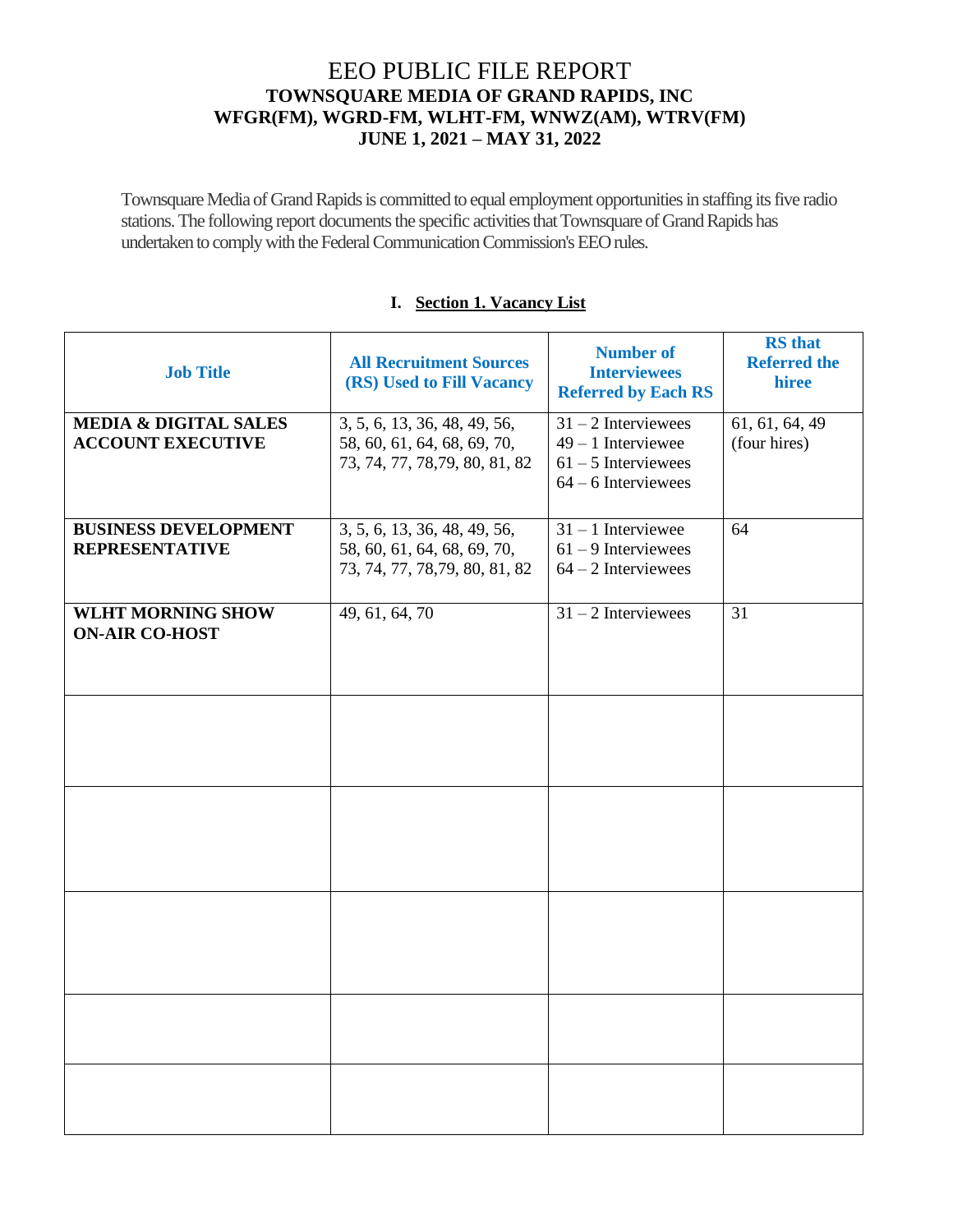# EEO PUBLIC FILE REPORT **TOWNSQUARE MEDIA OF GRAND RAPIDS, INC WFGR(FM), WGRD-FM, WLHT-FM, WNWZ(AM), WTRV(FM) JUNE 1, 2021 – MAY 31, 2022**

Townsquare Media of Grand Rapids is committed to equal employment opportunities in staffing its five radio stations. The following report documents the specific activities that Townsquare of Grand Rapids has undertaken to comply with the Federal Communication Commission's EEO rules.

### **I. Section 1. Vacancy List**

| <b>Job Title</b>                                             | <b>All Recruitment Sources</b><br>(RS) Used to Fill Vacancy                                   | <b>Number of</b><br><b>Interviewees</b><br><b>Referred by Each RS</b>                           | <b>RS</b> that<br><b>Referred the</b><br>hiree |
|--------------------------------------------------------------|-----------------------------------------------------------------------------------------------|-------------------------------------------------------------------------------------------------|------------------------------------------------|
| <b>MEDIA &amp; DIGITAL SALES</b><br><b>ACCOUNT EXECUTIVE</b> | 3, 5, 6, 13, 36, 48, 49, 56,<br>58, 60, 61, 64, 68, 69, 70,<br>73, 74, 77, 78, 79, 80, 81, 82 | $31 - 2$ Interviewees<br>$49 - 1$ Interviewee<br>$61 - 5$ Interviewees<br>$64 - 6$ Interviewees | 61, 61, 64, 49<br>(four hires)                 |
| <b>BUSINESS DEVELOPMENT</b><br><b>REPRESENTATIVE</b>         | 3, 5, 6, 13, 36, 48, 49, 56,<br>58, 60, 61, 64, 68, 69, 70,<br>73, 74, 77, 78, 79, 80, 81, 82 | $31 - 1$ Interviewee<br>$61 - 9$ Interviewees<br>$64 - 2$ Interviewees                          | 64                                             |
| <b>WLHT MORNING SHOW</b><br><b>ON-AIR CO-HOST</b>            | 49, 61, 64, 70                                                                                | $31 - 2$ Interviewees                                                                           | 31                                             |
|                                                              |                                                                                               |                                                                                                 |                                                |
|                                                              |                                                                                               |                                                                                                 |                                                |
|                                                              |                                                                                               |                                                                                                 |                                                |
|                                                              |                                                                                               |                                                                                                 |                                                |
|                                                              |                                                                                               |                                                                                                 |                                                |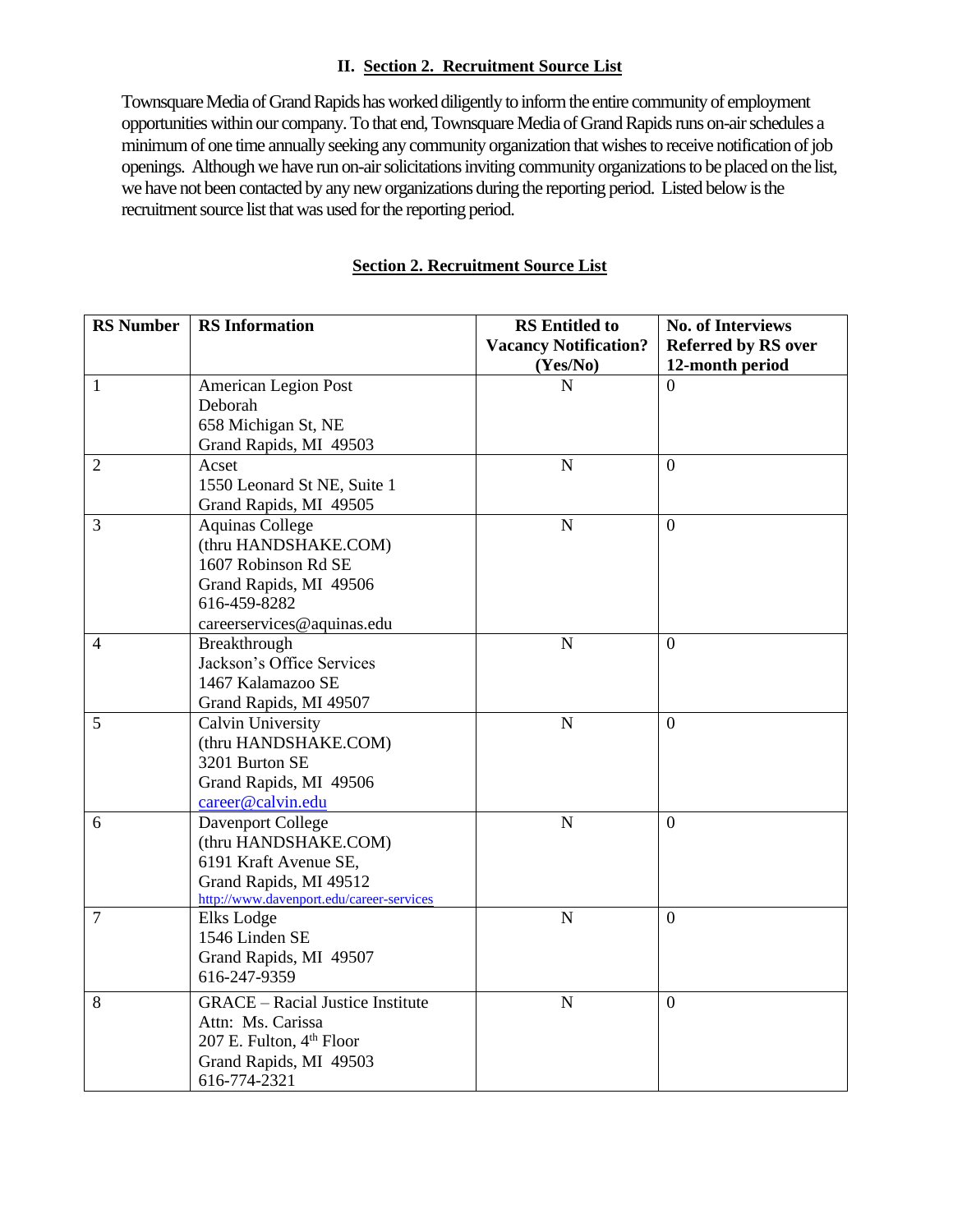#### **II. Section 2. Recruitment Source List**

Townsquare Media of Grand Rapids has worked diligently to inform the entire community of employment opportunities within our company. To that end, Townsquare Media of Grand Rapids runs on-air schedules a minimum of one time annually seeking any community organization that wishes to receive notification of job openings. Although we have run on-air solicitations inviting community organizations to be placed on the list, we have not been contacted by any new organizations during the reporting period. Listed below is the recruitment source list that was used for the reporting period.

#### **Section 2. Recruitment Source List**

| <b>RS</b> Number | <b>RS</b> Information                                                                                                                         | <b>RS</b> Entitled to<br><b>Vacancy Notification?</b> | No. of Interviews<br><b>Referred by RS over</b> |
|------------------|-----------------------------------------------------------------------------------------------------------------------------------------------|-------------------------------------------------------|-------------------------------------------------|
|                  |                                                                                                                                               | (Yes/No)                                              | 12-month period                                 |
| $\mathbf{1}$     | American Legion Post<br>Deborah<br>658 Michigan St, NE<br>Grand Rapids, MI 49503                                                              | N                                                     | $\Omega$                                        |
| $\overline{2}$   | Acset<br>1550 Leonard St NE, Suite 1<br>Grand Rapids, MI 49505                                                                                | $\mathbf N$                                           | $\overline{0}$                                  |
| 3                | <b>Aquinas College</b><br>(thru HANDSHAKE.COM)<br>1607 Robinson Rd SE<br>Grand Rapids, MI 49506<br>616-459-8282<br>careerservices@aquinas.edu | $\mathbf N$                                           | $\Omega$                                        |
| 4                | Breakthrough<br>Jackson's Office Services<br>1467 Kalamazoo SE<br>Grand Rapids, MI 49507                                                      | $\mathbf N$                                           | $\overline{0}$                                  |
| 5                | Calvin University<br>(thru HANDSHAKE.COM)<br>3201 Burton SE<br>Grand Rapids, MI 49506<br>career@calvin.edu                                    | ${\bf N}$                                             | $\overline{0}$                                  |
| 6                | Davenport College<br>(thru HANDSHAKE.COM)<br>6191 Kraft Avenue SE,<br>Grand Rapids, MI 49512<br>http://www.davenport.edu/career-services      | $\mathbf N$                                           | $\overline{0}$                                  |
| 7                | Elks Lodge<br>1546 Linden SE<br>Grand Rapids, MI 49507<br>616-247-9359                                                                        | N                                                     | $\overline{0}$                                  |
| 8                | <b>GRACE</b> – Racial Justice Institute<br>Attn: Ms. Carissa<br>207 E. Fulton, 4th Floor<br>Grand Rapids, MI 49503<br>616-774-2321            | ${\bf N}$                                             | $\overline{0}$                                  |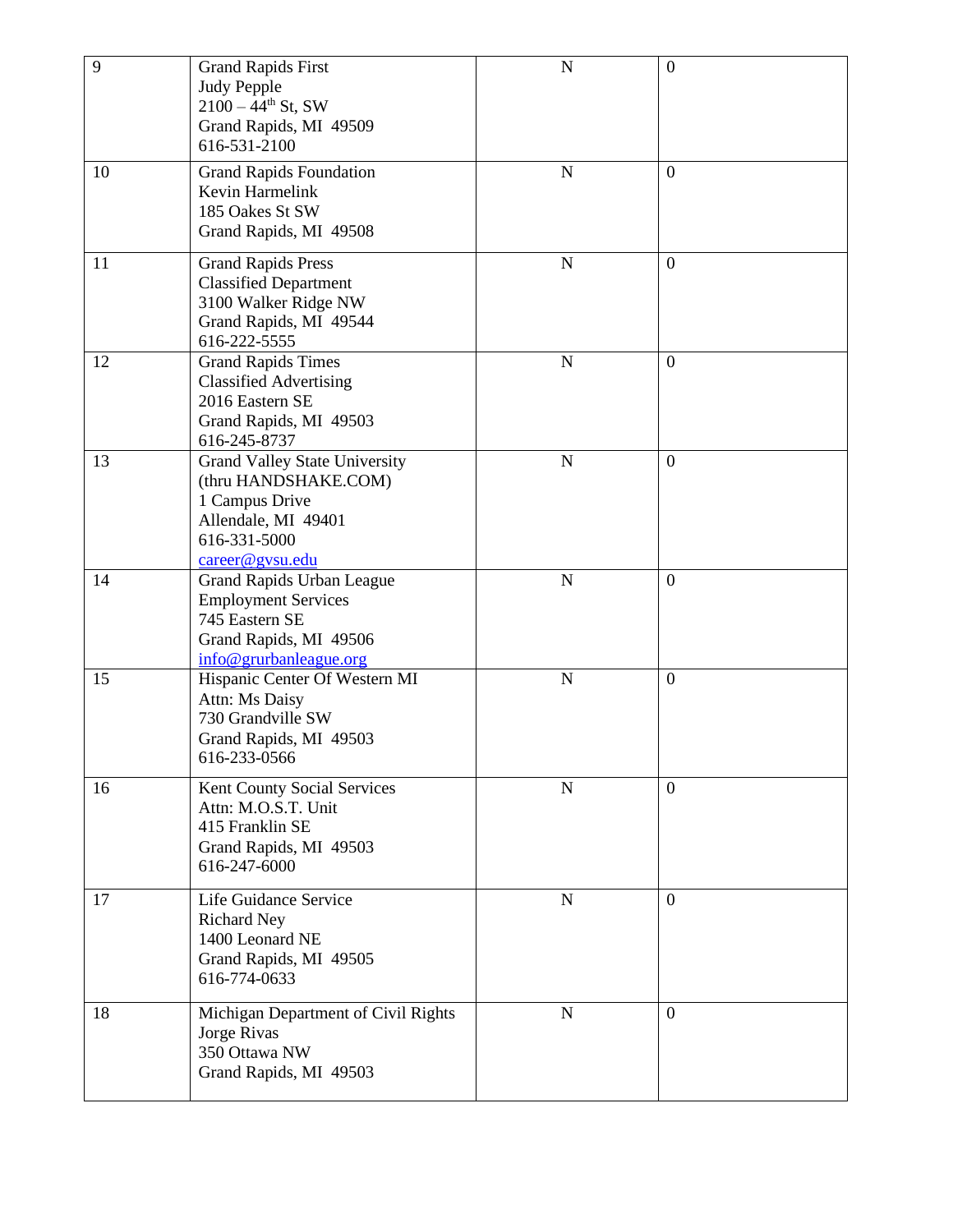| 9  | <b>Grand Rapids First</b><br><b>Judy Pepple</b><br>$2100 - 44$ <sup>th</sup> St, SW<br>Grand Rapids, MI 49509<br>616-531-2100            | $\mathbf N$ | $\boldsymbol{0}$ |
|----|------------------------------------------------------------------------------------------------------------------------------------------|-------------|------------------|
| 10 | <b>Grand Rapids Foundation</b><br>Kevin Harmelink<br>185 Oakes St SW<br>Grand Rapids, MI 49508                                           | $\mathbf N$ | $\overline{0}$   |
| 11 | <b>Grand Rapids Press</b><br><b>Classified Department</b><br>3100 Walker Ridge NW<br>Grand Rapids, MI 49544<br>616-222-5555              | $\mathbf N$ | $\boldsymbol{0}$ |
| 12 | <b>Grand Rapids Times</b><br><b>Classified Advertising</b><br>2016 Eastern SE<br>Grand Rapids, MI 49503<br>616-245-8737                  | $\mathbf N$ | $\overline{0}$   |
| 13 | <b>Grand Valley State University</b><br>(thru HANDSHAKE.COM)<br>1 Campus Drive<br>Allendale, MI 49401<br>616-331-5000<br>career@gvsu.edu | ${\bf N}$   | $\boldsymbol{0}$ |
| 14 | Grand Rapids Urban League<br><b>Employment Services</b><br>745 Eastern SE<br>Grand Rapids, MI 49506<br>info@grurbanleague.org            | $\mathbf N$ | $\boldsymbol{0}$ |
| 15 | Hispanic Center Of Western MI<br>Attn: Ms Daisy<br>730 Grandville SW<br>Grand Rapids, MI 49503<br>616-233-0566                           | $\mathbf N$ | $\overline{0}$   |
| 16 | Kent County Social Services<br>Attn: M.O.S.T. Unit<br>415 Franklin SE<br>Grand Rapids, MI 49503<br>616-247-6000                          | $\mathbf N$ | $\overline{0}$   |
| 17 | Life Guidance Service<br><b>Richard Ney</b><br>1400 Leonard NE<br>Grand Rapids, MI 49505<br>616-774-0633                                 | $\mathbf N$ | $\overline{0}$   |
| 18 | Michigan Department of Civil Rights<br>Jorge Rivas<br>350 Ottawa NW<br>Grand Rapids, MI 49503                                            | ${\bf N}$   | $\boldsymbol{0}$ |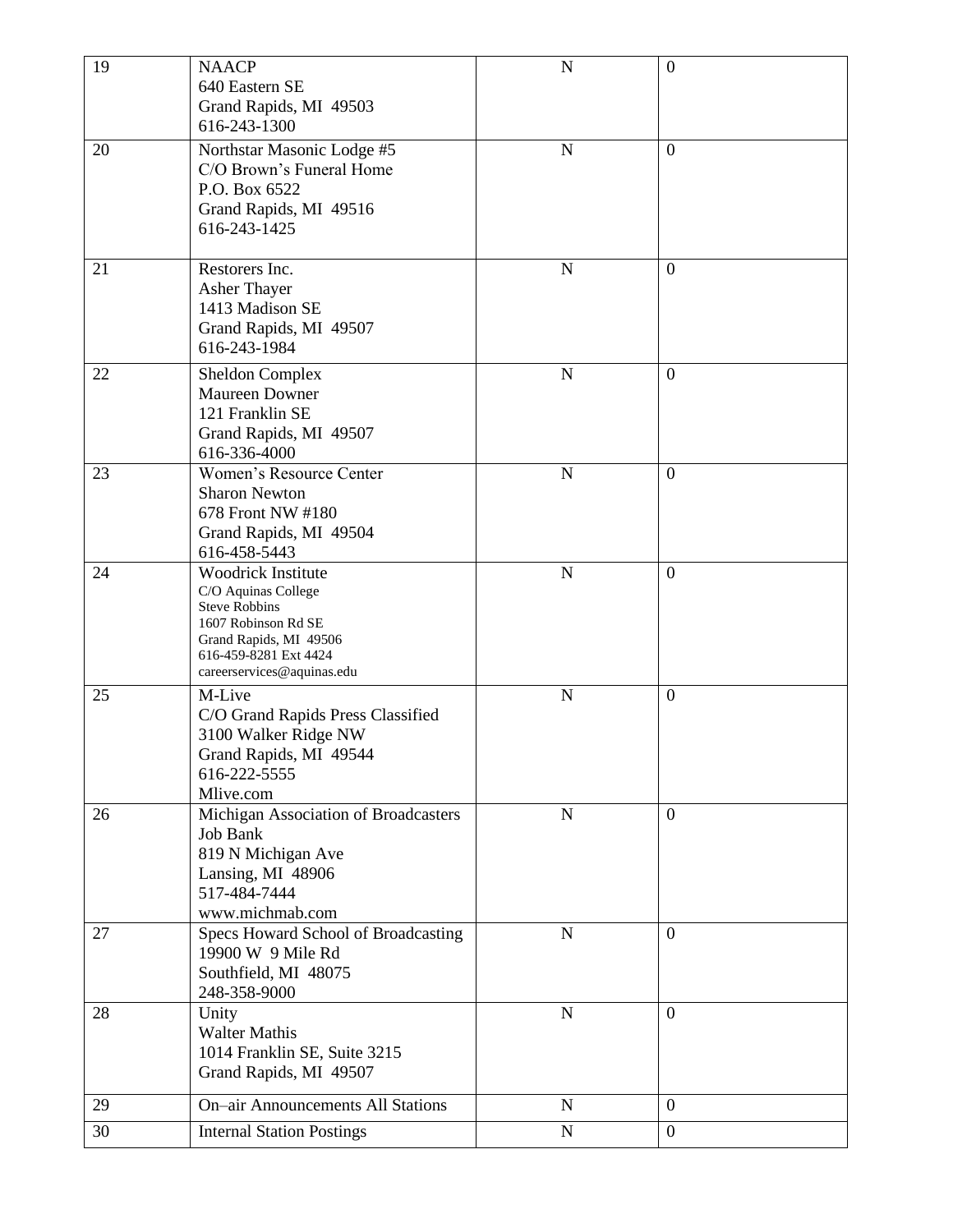| 19 | <b>NAACP</b><br>640 Eastern SE<br>Grand Rapids, MI 49503<br>616-243-1300                                                                                                  | $\mathbf N$    | $\boldsymbol{0}$ |
|----|---------------------------------------------------------------------------------------------------------------------------------------------------------------------------|----------------|------------------|
| 20 | Northstar Masonic Lodge #5<br>C/O Brown's Funeral Home<br>P.O. Box 6522<br>Grand Rapids, MI 49516<br>616-243-1425                                                         | N              | $\overline{0}$   |
| 21 | Restorers Inc.<br>Asher Thayer<br>1413 Madison SE<br>Grand Rapids, MI 49507<br>616-243-1984                                                                               | $\mathbf N$    | $\overline{0}$   |
| 22 | <b>Sheldon Complex</b><br>Maureen Downer<br>121 Franklin SE<br>Grand Rapids, MI 49507<br>616-336-4000                                                                     | N              | $\overline{0}$   |
| 23 | Women's Resource Center<br><b>Sharon Newton</b><br>678 Front NW #180<br>Grand Rapids, MI 49504<br>616-458-5443                                                            | $\overline{N}$ | $\overline{0}$   |
| 24 | Woodrick Institute<br>C/O Aquinas College<br><b>Steve Robbins</b><br>1607 Robinson Rd SE<br>Grand Rapids, MI 49506<br>616-459-8281 Ext 4424<br>careerservices@aquinas.edu | ${\bf N}$      | $\boldsymbol{0}$ |
| 25 | M-Live<br>C/O Grand Rapids Press Classified<br>3100 Walker Ridge NW<br>Grand Rapids, MI 49544<br>616-222-5555<br>Mlive.com                                                | $\mathbf N$    | $\overline{0}$   |
| 26 | Michigan Association of Broadcasters<br><b>Job Bank</b><br>819 N Michigan Ave<br>Lansing, MI 48906<br>517-484-7444<br>www.michmab.com                                     | $\mathbf N$    | $\overline{0}$   |
| 27 | Specs Howard School of Broadcasting<br>19900 W 9 Mile Rd<br>Southfield, MI 48075<br>248-358-9000                                                                          | ${\bf N}$      | $\overline{0}$   |
| 28 | Unity<br><b>Walter Mathis</b><br>1014 Franklin SE, Suite 3215<br>Grand Rapids, MI 49507                                                                                   | ${\bf N}$      | $\overline{0}$   |
| 29 | <b>On-air Announcements All Stations</b>                                                                                                                                  | $\mathbf N$    | $\boldsymbol{0}$ |
| 30 | <b>Internal Station Postings</b>                                                                                                                                          | $\mathbf N$    | $\boldsymbol{0}$ |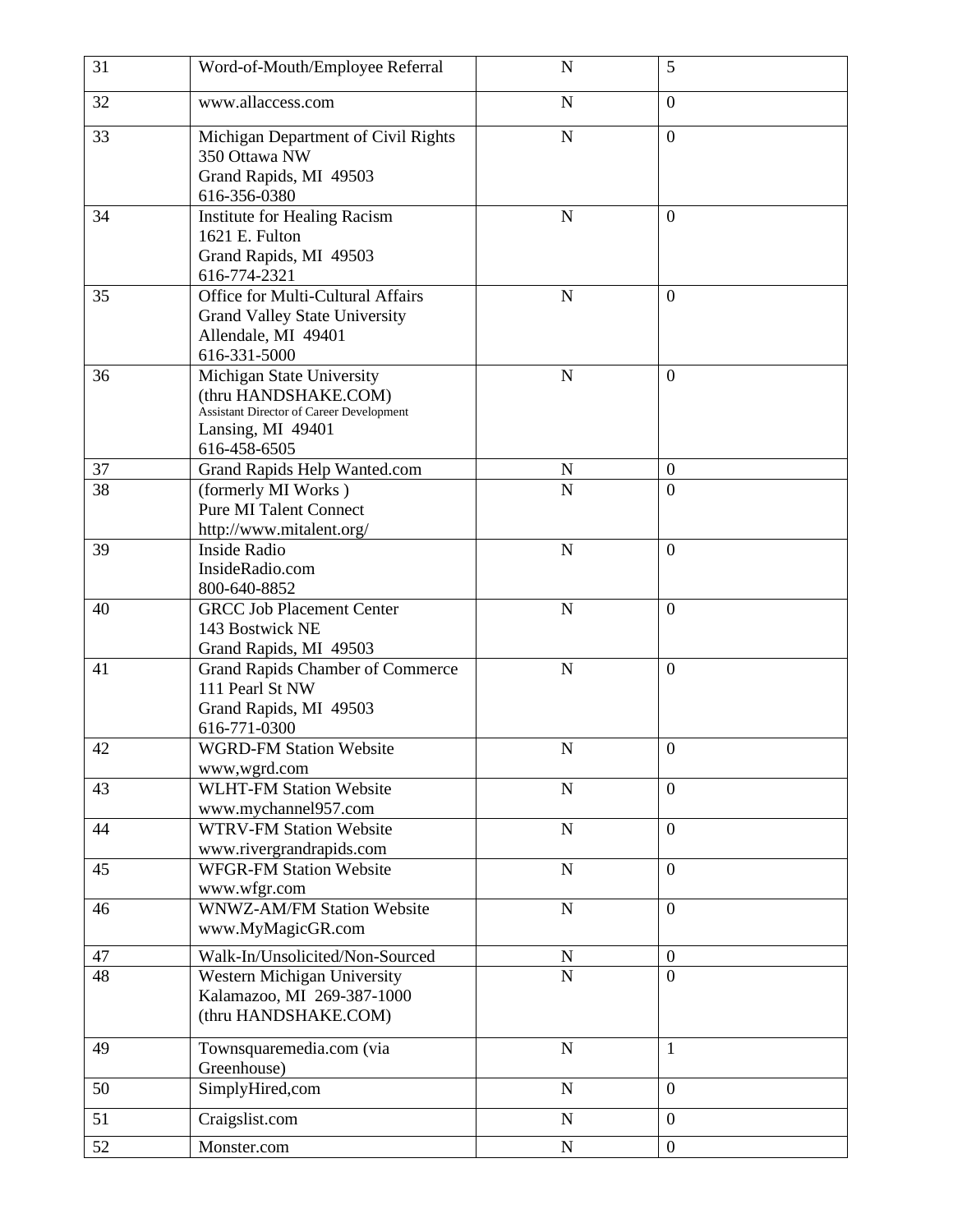| 31 | Word-of-Mouth/Employee Referral                                                                                                    | $\mathbf N$    | 5              |
|----|------------------------------------------------------------------------------------------------------------------------------------|----------------|----------------|
| 32 | www.allaccess.com                                                                                                                  | $\overline{N}$ | $\overline{0}$ |
| 33 | Michigan Department of Civil Rights<br>350 Ottawa NW<br>Grand Rapids, MI 49503<br>616-356-0380                                     | $\mathbf N$    | $\overline{0}$ |
| 34 | Institute for Healing Racism<br>1621 E. Fulton<br>Grand Rapids, MI 49503<br>616-774-2321                                           | $\mathbf N$    | $\overline{0}$ |
| 35 | Office for Multi-Cultural Affairs<br><b>Grand Valley State University</b><br>Allendale, MI 49401<br>616-331-5000                   | $\mathbf N$    | $\overline{0}$ |
| 36 | Michigan State University<br>(thru HANDSHAKE.COM)<br>Assistant Director of Career Development<br>Lansing, MI 49401<br>616-458-6505 | $\mathbf N$    | $\overline{0}$ |
| 37 | Grand Rapids Help Wanted.com                                                                                                       | N              | $\overline{0}$ |
| 38 | (formerly MI Works)<br><b>Pure MI Talent Connect</b><br>http://www.mitalent.org/                                                   | $\overline{N}$ | $\overline{0}$ |
| 39 | <b>Inside Radio</b><br>InsideRadio.com<br>800-640-8852                                                                             | $\mathbf N$    | $\overline{0}$ |
| 40 | <b>GRCC Job Placement Center</b><br>143 Bostwick NE<br>Grand Rapids, MI 49503                                                      | $\mathbf N$    | $\overline{0}$ |
| 41 | <b>Grand Rapids Chamber of Commerce</b><br>111 Pearl St NW<br>Grand Rapids, MI 49503<br>616-771-0300                               | $\mathbf N$    | $\overline{0}$ |
| 42 | <b>WGRD-FM Station Website</b><br>www,wgrd.com                                                                                     | N              | $\overline{0}$ |
| 43 | <b>WLHT-FM Station Website</b><br>www.mychannel957.com                                                                             | $\mathbf N$    | $\overline{0}$ |
| 44 | <b>WTRV-FM Station Website</b><br>www.rivergrandrapids.com                                                                         | $\mathbf N$    | $\overline{0}$ |
| 45 | <b>WFGR-FM Station Website</b><br>www.wfgr.com                                                                                     | ${\bf N}$      | $\overline{0}$ |
| 46 | <b>WNWZ-AM/FM Station Website</b><br>www.MyMagicGR.com                                                                             | ${\bf N}$      | $\overline{0}$ |
| 47 | Walk-In/Unsolicited/Non-Sourced                                                                                                    | N              | $\mathbf{0}$   |
| 48 | Western Michigan University<br>Kalamazoo, MI 269-387-1000<br>(thru HANDSHAKE.COM)                                                  | $\overline{N}$ | $\overline{0}$ |
| 49 | Townsquaremedia.com (via<br>Greenhouse)                                                                                            | $\mathbf N$    | $\mathbf{1}$   |
| 50 | SimplyHired,com                                                                                                                    | ${\bf N}$      | $\overline{0}$ |
| 51 | Craigslist.com                                                                                                                     | $\mathbf N$    | $\overline{0}$ |
| 52 | Monster.com                                                                                                                        | ${\bf N}$      | $\overline{0}$ |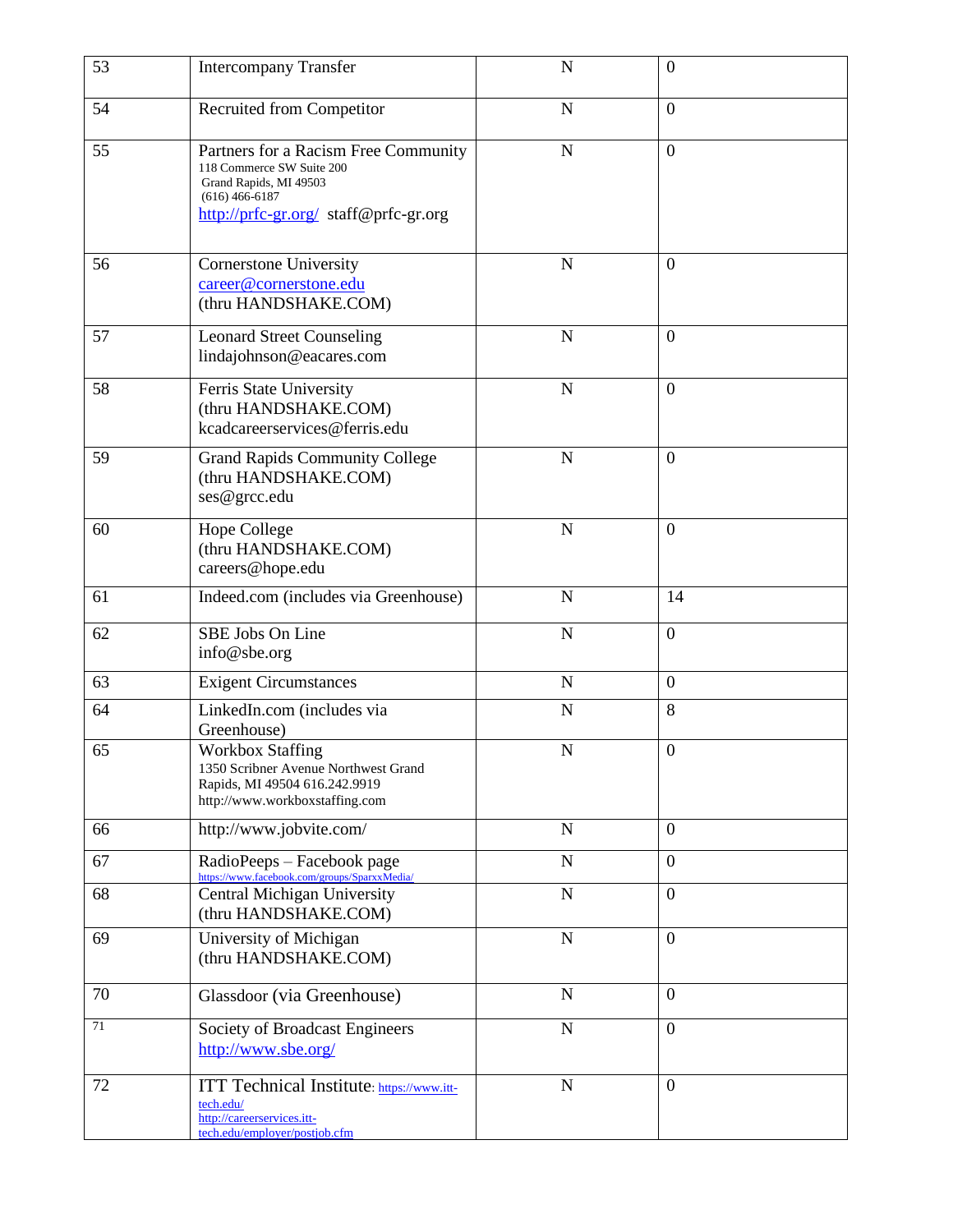| 53     | <b>Intercompany Transfer</b>                                                                                                                             | N           | $\overline{0}$   |
|--------|----------------------------------------------------------------------------------------------------------------------------------------------------------|-------------|------------------|
| 54     | <b>Recruited from Competitor</b>                                                                                                                         | N           | $\overline{0}$   |
| 55     | Partners for a Racism Free Community<br>118 Commerce SW Suite 200<br>Grand Rapids, MI 49503<br>$(616)$ 466-6187<br>http://prfc-gr.org/ staff@prfc-gr.org | $\mathbf N$ | $\overline{0}$   |
| 56     | <b>Cornerstone University</b><br>career@cornerstone.edu<br>(thru HANDSHAKE.COM)                                                                          | $\mathbf N$ | $\Omega$         |
| 57     | <b>Leonard Street Counseling</b><br>lindajohnson@eacares.com                                                                                             | N           | $\Omega$         |
| 58     | Ferris State University<br>(thru HANDSHAKE.COM)<br>kcadcareerservices@ferris.edu                                                                         | $\mathbf N$ | $\overline{0}$   |
| 59     | <b>Grand Rapids Community College</b><br>(thru HANDSHAKE.COM)<br>ses@grcc.edu                                                                            | $\mathbf N$ | $\overline{0}$   |
| 60     | <b>Hope College</b><br>(thru HANDSHAKE.COM)<br>careers@hope.edu                                                                                          | N           | $\overline{0}$   |
| 61     | Indeed.com (includes via Greenhouse)                                                                                                                     | $\mathbf N$ | 14               |
| 62     | SBE Jobs On Line<br>info@sbe.org                                                                                                                         | ${\bf N}$   | $\overline{0}$   |
| 63     | <b>Exigent Circumstances</b>                                                                                                                             | ${\bf N}$   | $\overline{0}$   |
| 64     | LinkedIn.com (includes via<br>Greenhouse)                                                                                                                | $\mathbf N$ | 8                |
| 65     | <b>Workbox Staffing</b><br>1350 Scribner Avenue Northwest Grand<br>Rapids, MI 49504 616.242.9919<br>http://www.workboxstaffing.com                       | N           | $\overline{0}$   |
| 66     | http://www.jobvite.com/                                                                                                                                  | ${\bf N}$   | $\theta$         |
| 67     | RadioPeeps - Facebook page<br>https://www.facebook.com/groups/SparxxMedia/                                                                               | $\mathbf N$ | $\boldsymbol{0}$ |
| 68     | Central Michigan University<br>(thru HANDSHAKE.COM)                                                                                                      | ${\bf N}$   | $\overline{0}$   |
| 69     | University of Michigan<br>(thru HANDSHAKE.COM)                                                                                                           | $\mathbf N$ | $\overline{0}$   |
| 70     | Glassdoor (via Greenhouse)                                                                                                                               | $\mathbf N$ | $\overline{0}$   |
| $71\,$ | Society of Broadcast Engineers<br>http://www.sbe.org/                                                                                                    | $\mathbf N$ | $\boldsymbol{0}$ |
| 72     | ITT Technical Institute: https://www.itt-<br>tech.edu/<br>http://careerservices.itt-<br>tech.edu/employer/postjob.cfm                                    | ${\bf N}$   | $\overline{0}$   |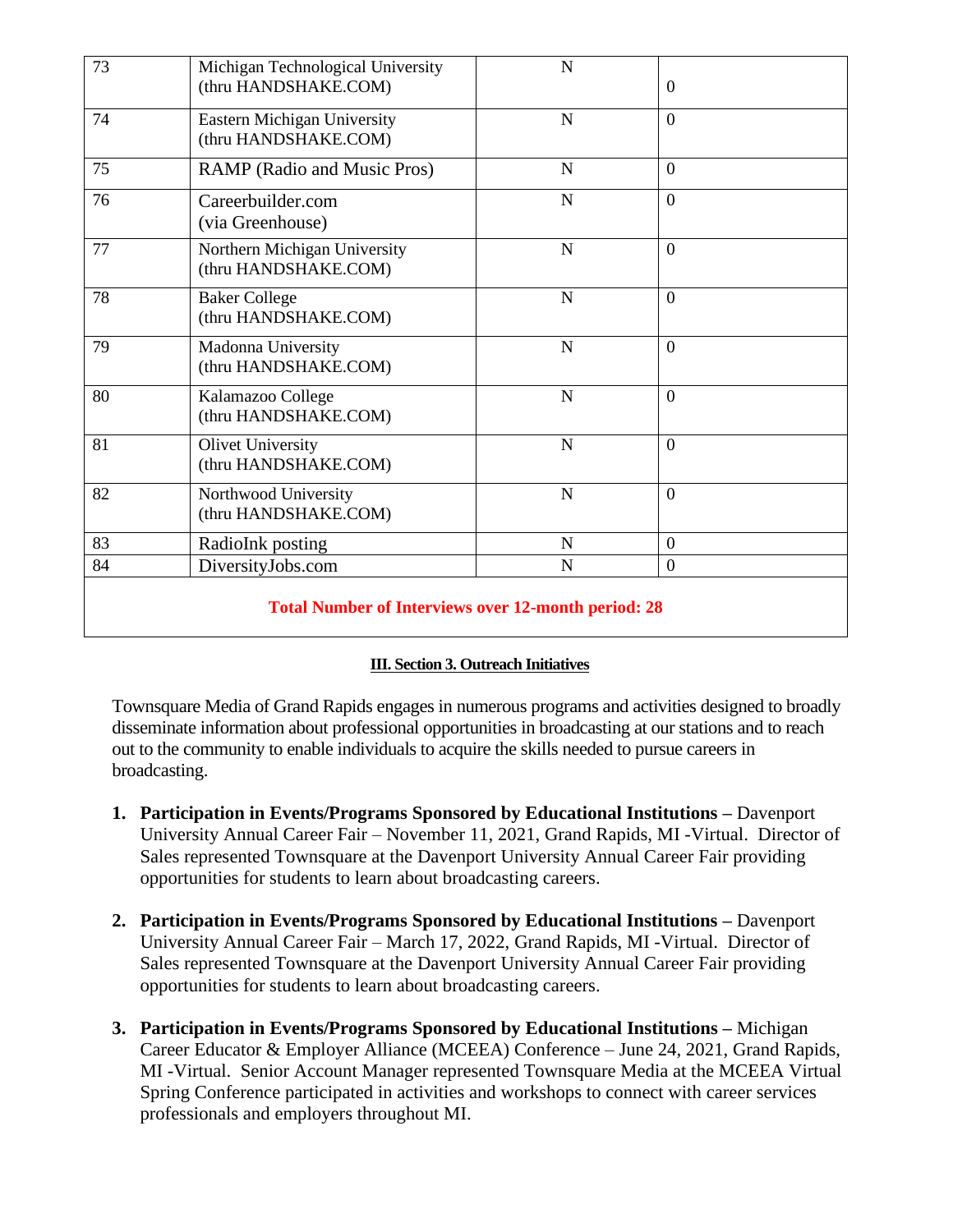| 73                                                         | Michigan Technological University  | $\mathbf N$ |                |  |
|------------------------------------------------------------|------------------------------------|-------------|----------------|--|
|                                                            | (thru HANDSHAKE.COM)               |             | $\mathbf{0}$   |  |
| 74                                                         | <b>Eastern Michigan University</b> | $\mathbf N$ | $\theta$       |  |
|                                                            | (thru HANDSHAKE.COM)               |             |                |  |
| 75                                                         | RAMP (Radio and Music Pros)        | $\mathbf N$ | $\overline{0}$ |  |
| 76                                                         | Careerbuilder.com                  | $\mathbf N$ | $\overline{0}$ |  |
|                                                            | (via Greenhouse)                   |             |                |  |
| 77                                                         | Northern Michigan University       | $\mathbf N$ | $\overline{0}$ |  |
|                                                            | (thru HANDSHAKE.COM)               |             |                |  |
| 78                                                         | <b>Baker College</b>               | $\mathbf N$ | $\overline{0}$ |  |
|                                                            | (thru HANDSHAKE.COM)               |             |                |  |
| 79                                                         | Madonna University                 | $\mathbf N$ | $\overline{0}$ |  |
|                                                            | (thru HANDSHAKE.COM)               |             |                |  |
| 80                                                         | Kalamazoo College                  | $\mathbf N$ | $\overline{0}$ |  |
|                                                            | (thru HANDSHAKE.COM)               |             |                |  |
| 81                                                         | <b>Olivet University</b>           | $\mathbf N$ | $\overline{0}$ |  |
|                                                            | (thru HANDSHAKE.COM)               |             |                |  |
| 82                                                         | Northwood University               | $\mathbf N$ | $\overline{0}$ |  |
|                                                            | (thru HANDSHAKE.COM)               |             |                |  |
| 83                                                         | RadioInk posting                   | $\mathbf N$ | $\mathbf{0}$   |  |
| 84                                                         | DiversityJobs.com                  | $\mathbf N$ | $\overline{0}$ |  |
| <b>Total Number of Interviews over 12-month period: 28</b> |                                    |             |                |  |

## **III. Section 3. Outreach Initiatives**

Townsquare Media of Grand Rapids engages in numerous programs and activities designed to broadly disseminate information about professional opportunities in broadcasting at our stations and to reach out to the community to enable individuals to acquire the skills needed to pursue careers in broadcasting.

- **1. Participation in Events/Programs Sponsored by Educational Institutions –** Davenport University Annual Career Fair – November 11, 2021, Grand Rapids, MI -Virtual. Director of Sales represented Townsquare at the Davenport University Annual Career Fair providing opportunities for students to learn about broadcasting careers.
- **2. Participation in Events/Programs Sponsored by Educational Institutions –** Davenport University Annual Career Fair – March 17, 2022, Grand Rapids, MI -Virtual. Director of Sales represented Townsquare at the Davenport University Annual Career Fair providing opportunities for students to learn about broadcasting careers.
- **3. Participation in Events/Programs Sponsored by Educational Institutions –** Michigan Career Educator & Employer Alliance (MCEEA) Conference – June 24, 2021, Grand Rapids, MI -Virtual. Senior Account Manager represented Townsquare Media at the MCEEA Virtual Spring Conference participated in activities and workshops to connect with career services professionals and employers throughout MI.